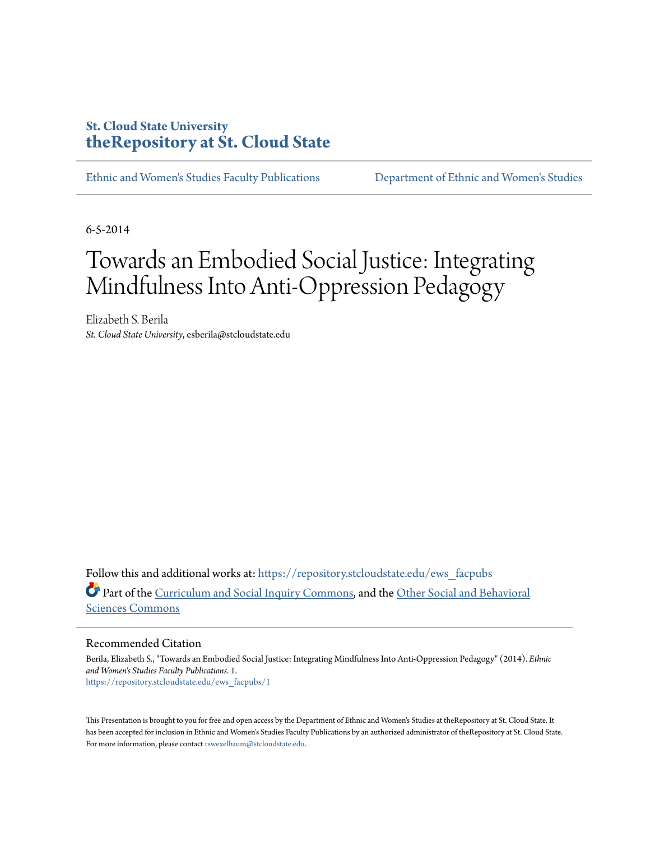#### **St. Cloud State University [theRepository at St. Cloud State](https://repository.stcloudstate.edu?utm_source=repository.stcloudstate.edu%2Fews_facpubs%2F1&utm_medium=PDF&utm_campaign=PDFCoverPages)**

[Ethnic and Women's Studies Faculty Publications](https://repository.stcloudstate.edu/ews_facpubs?utm_source=repository.stcloudstate.edu%2Fews_facpubs%2F1&utm_medium=PDF&utm_campaign=PDFCoverPages) [Department of Ethnic and Women's Studies](https://repository.stcloudstate.edu/ews?utm_source=repository.stcloudstate.edu%2Fews_facpubs%2F1&utm_medium=PDF&utm_campaign=PDFCoverPages)

6-5-2014

#### Towards an Embodied Social Justice: Integrating Mindfulness Into Anti-Oppression Pedagogy

Elizabeth S. Berila *St. Cloud State University*, esberila@stcloudstate.edu

Follow this and additional works at: [https://repository.stcloudstate.edu/ews\\_facpubs](https://repository.stcloudstate.edu/ews_facpubs?utm_source=repository.stcloudstate.edu%2Fews_facpubs%2F1&utm_medium=PDF&utm_campaign=PDFCoverPages) Part of the [Curriculum and Social Inquiry Commons](http://network.bepress.com/hgg/discipline/1038?utm_source=repository.stcloudstate.edu%2Fews_facpubs%2F1&utm_medium=PDF&utm_campaign=PDFCoverPages), and the [Other Social and Behavioral](http://network.bepress.com/hgg/discipline/437?utm_source=repository.stcloudstate.edu%2Fews_facpubs%2F1&utm_medium=PDF&utm_campaign=PDFCoverPages) [Sciences Commons](http://network.bepress.com/hgg/discipline/437?utm_source=repository.stcloudstate.edu%2Fews_facpubs%2F1&utm_medium=PDF&utm_campaign=PDFCoverPages)

#### Recommended Citation

Berila, Elizabeth S., "Towards an Embodied Social Justice: Integrating Mindfulness Into Anti-Oppression Pedagogy" (2014). *Ethnic and Women's Studies Faculty Publications*. 1. [https://repository.stcloudstate.edu/ews\\_facpubs/1](https://repository.stcloudstate.edu/ews_facpubs/1?utm_source=repository.stcloudstate.edu%2Fews_facpubs%2F1&utm_medium=PDF&utm_campaign=PDFCoverPages)

This Presentation is brought to you for free and open access by the Department of Ethnic and Women's Studies at theRepository at St. Cloud State. It has been accepted for inclusion in Ethnic and Women's Studies Faculty Publications by an authorized administrator of theRepository at St. Cloud State. For more information, please contact [rswexelbaum@stcloudstate.edu](mailto:rswexelbaum@stcloudstate.edu).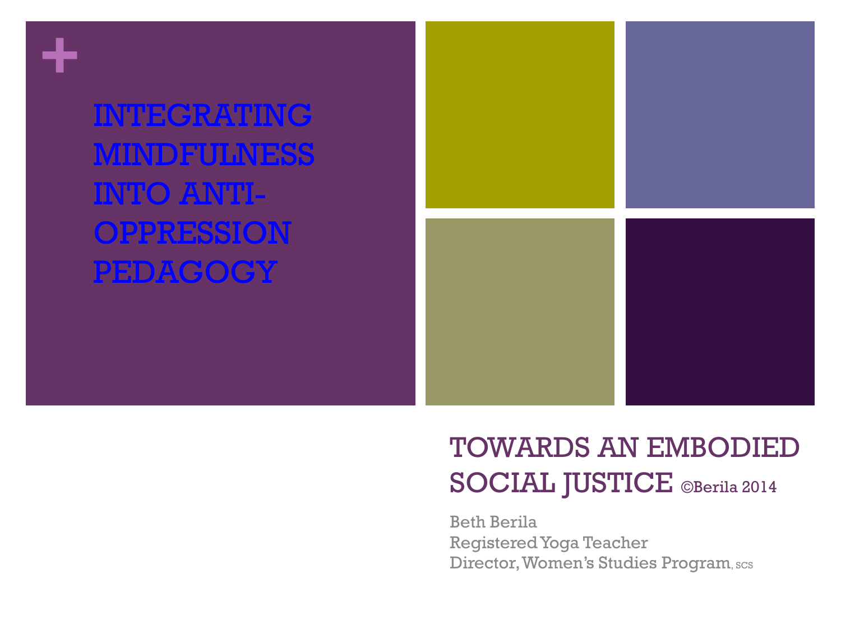**+**

INTEGRATING MINDFULNESS INTO ANTI-OPPRESSION PEDAGOGY



## TOWARDS AN EMBODIED SOCIAL JUSTICE ©Berila 2014

Beth Berila Registered Yoga Teacher Director, Women's Studies Program, scs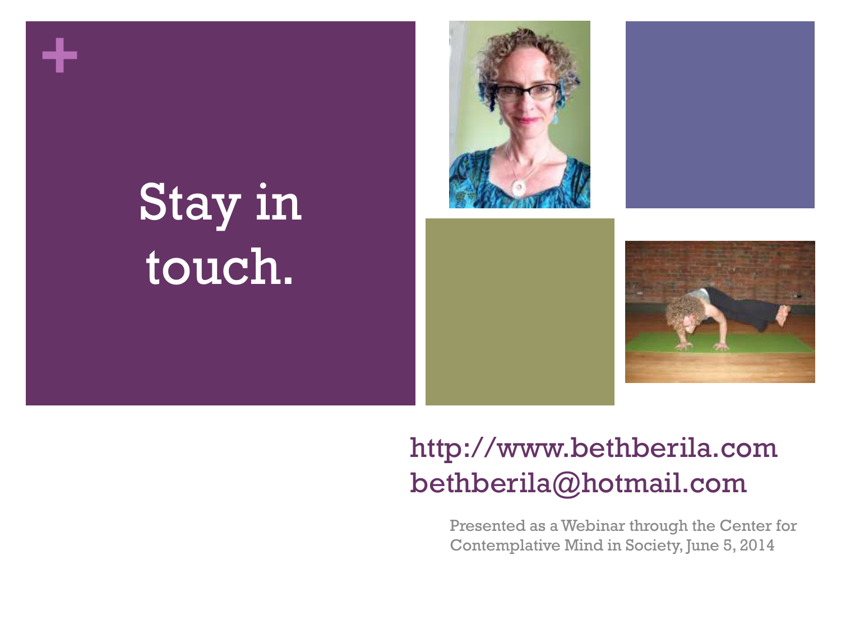

# Stay in touch.





## http://www.bethberila.com bethberila@hotmail.com

Presented as a Webinar through the Center for Contemplative Mind in Society, June 5, 2014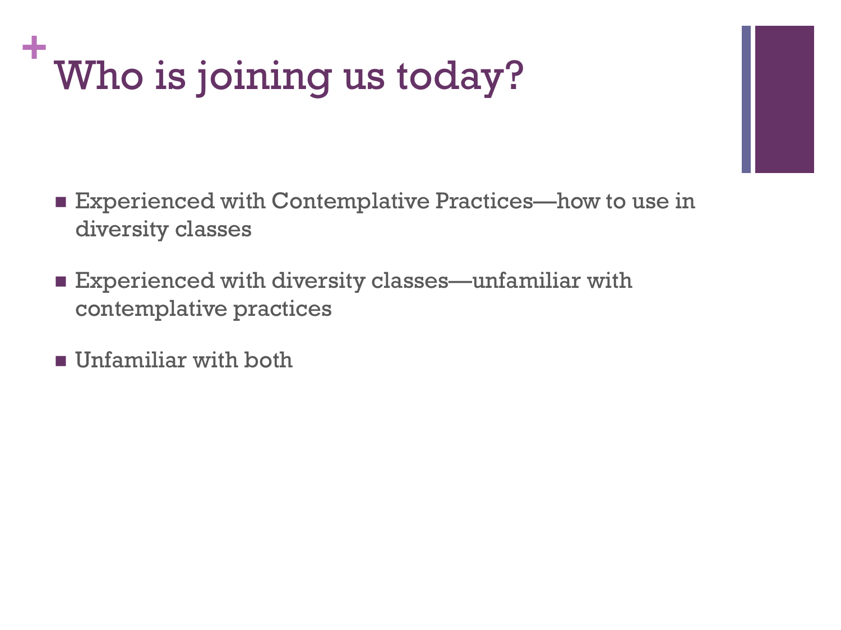## **+** Who is joining us today?

- Experienced with Contemplative Practices—how to use in diversity classes
- Experienced with diversity classes—unfamiliar with contemplative practices
- **Unfamiliar with both**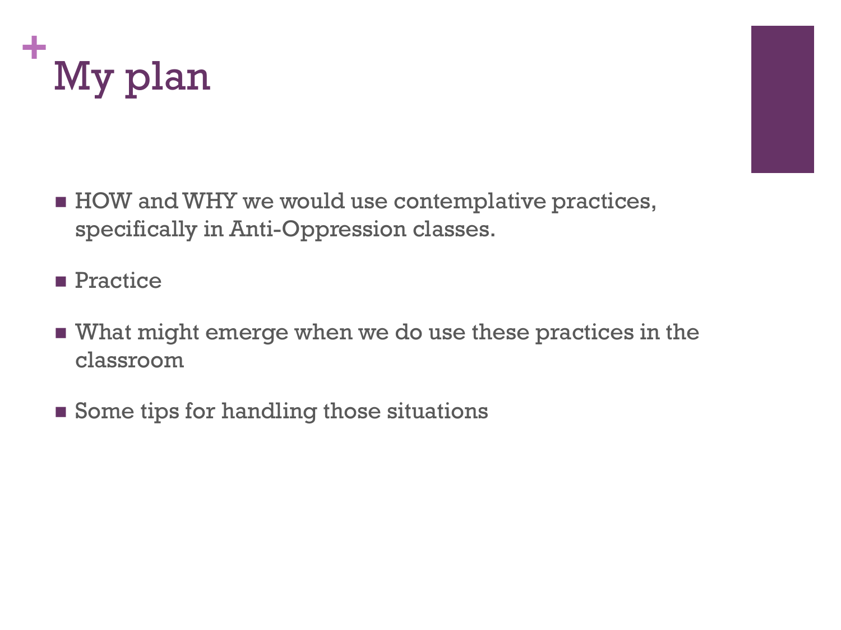



- HOW and WHY we would use contemplative practices, specifically in Anti-Oppression classes.
- **Practice**
- What might emerge when we do use these practices in the classroom
- Some tips for handling those situations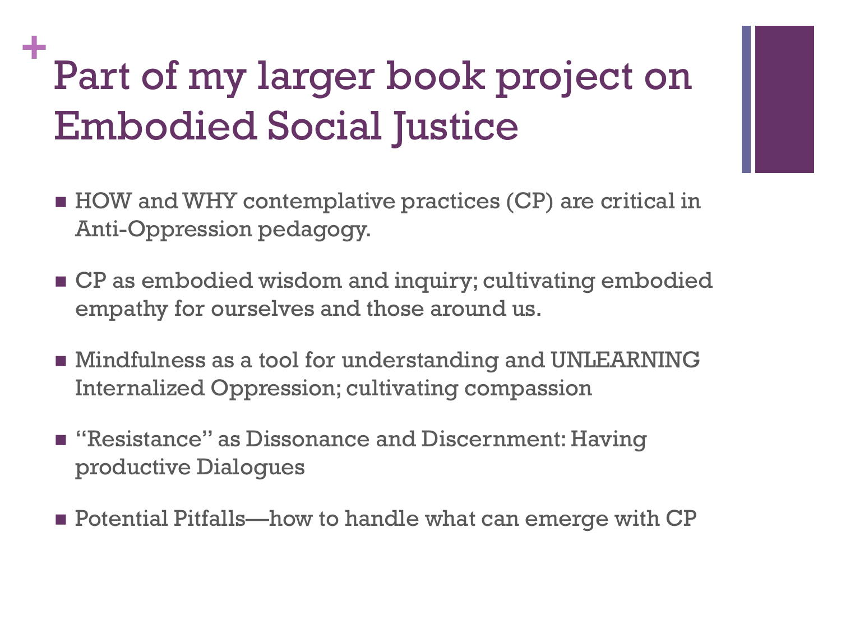## **+** Part of my larger book project on Embodied Social Justice

- HOW and WHY contemplative practices (CP) are critical in Anti-Oppression pedagogy.
- **CP** as embodied wisdom and inquiry; cultivating embodied empathy for ourselves and those around us.
- Mindfulness as a tool for understanding and UNLEARNING Internalized Oppression; cultivating compassion
- **E** "Resistance" as Dissonance and Discernment: Having productive Dialogues
- Potential Pitfalls—how to handle what can emerge with CP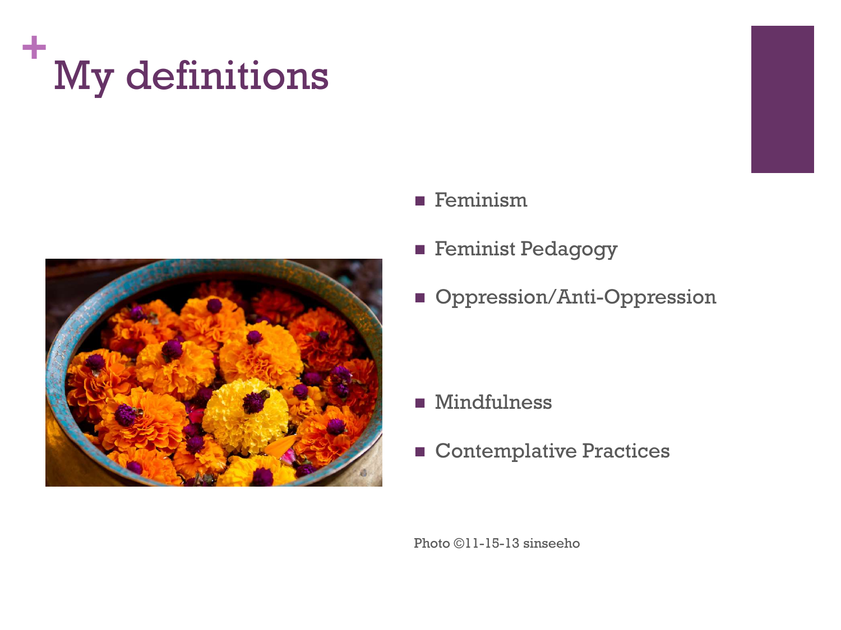



- **Feminism**
- **Feminist Pedagogy**
- **Oppression/Anti-Oppression**

- **Mindfulness**
- **Contemplative Practices**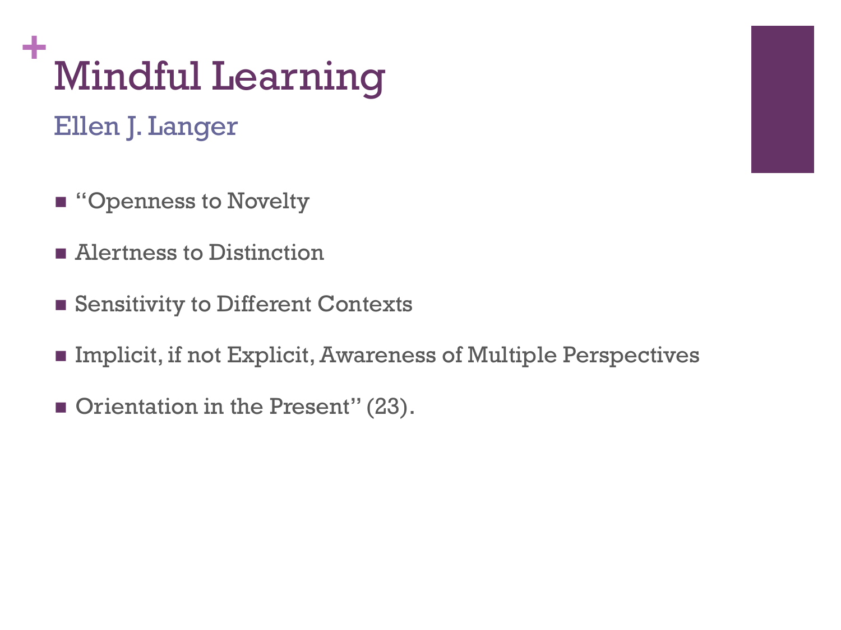## **+** Mindful Learning

Ellen J. Langer

- "Openness to Novelty
- Alertness to Distinction
- Sensitivity to Different Contexts
- Implicit, if not Explicit, Awareness of Multiple Perspectives
- Orientation in the Present" (23).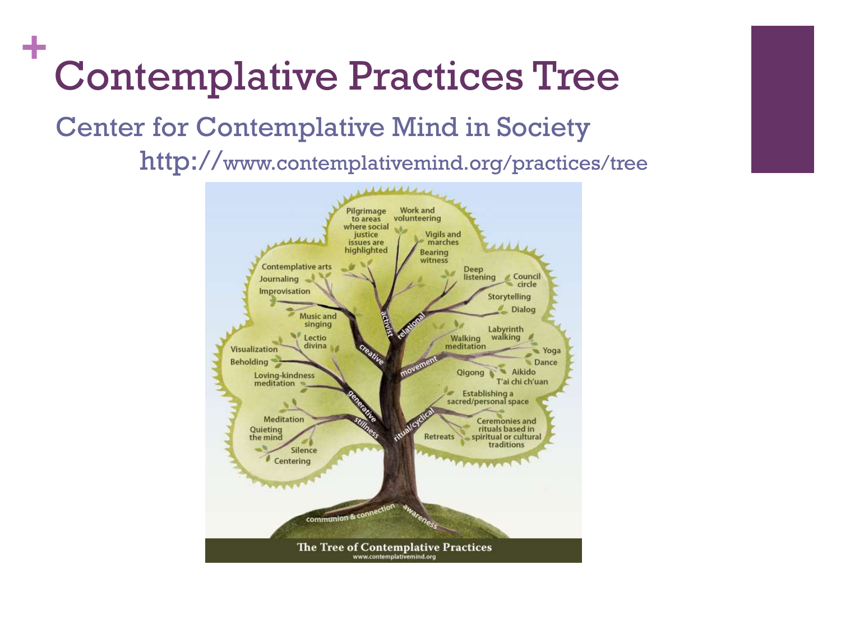## **+** Contemplative Practices Tree

#### Center for Contemplative Mind in Society http://www.contemplativemind.org/practices/tree

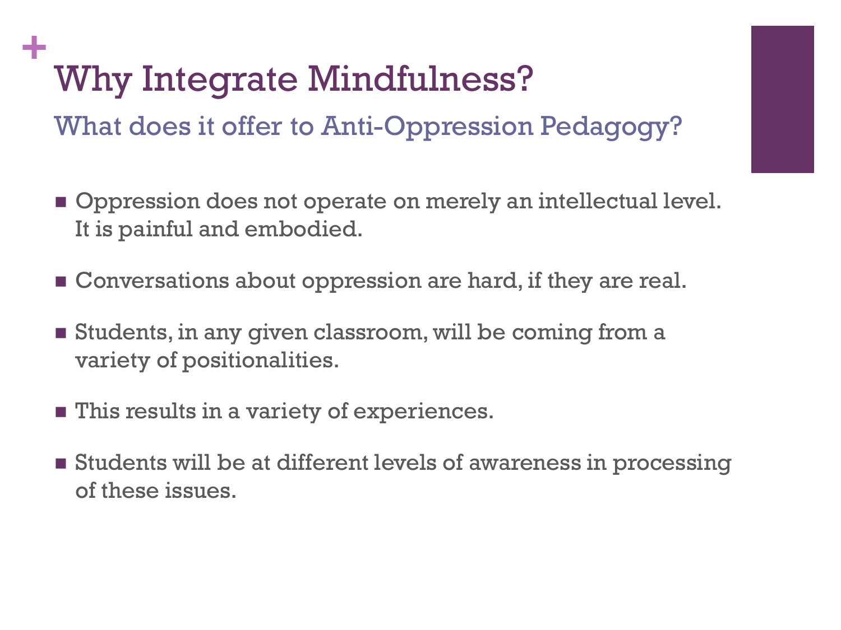## **+** Why Integrate Mindfulness?

What does it offer to Anti-Oppression Pedagogy?

- **Oppression does not operate on merely an intellectual level.** It is painful and embodied.
- **E** Conversations about oppression are hard, if they are real.
- **Students, in any given classroom, will be coming from a** variety of positionalities.
- **This results in a variety of experiences.**
- Students will be at different levels of awareness in processing of these issues.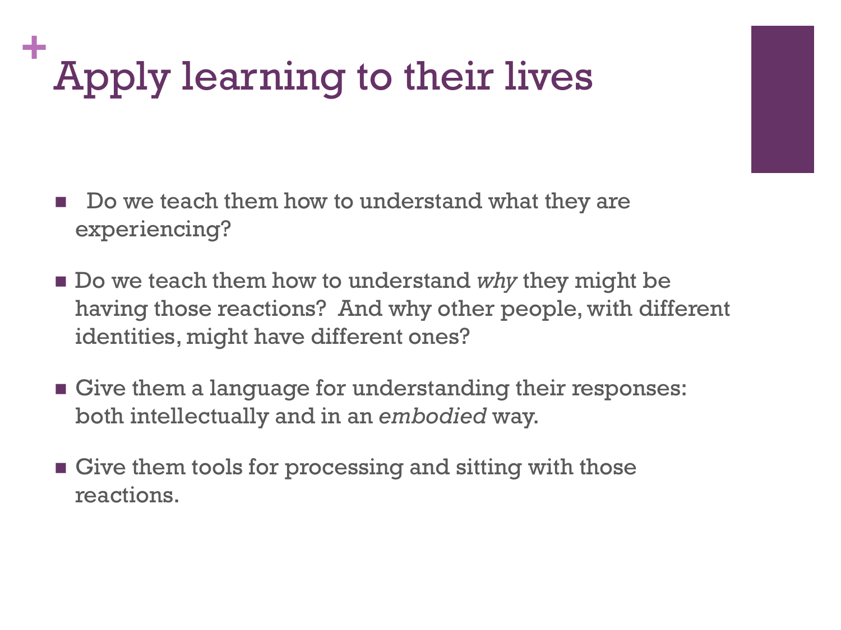## **+** Apply learning to their lives

- Do we teach them how to understand what they are experiencing?
- **Do** we teach them how to understand *why* they might be having those reactions? And why other people, with different identities, might have different ones?
- Give them a language for understanding their responses: both intellectually and in an *embodied* way.
- Give them tools for processing and sitting with those reactions.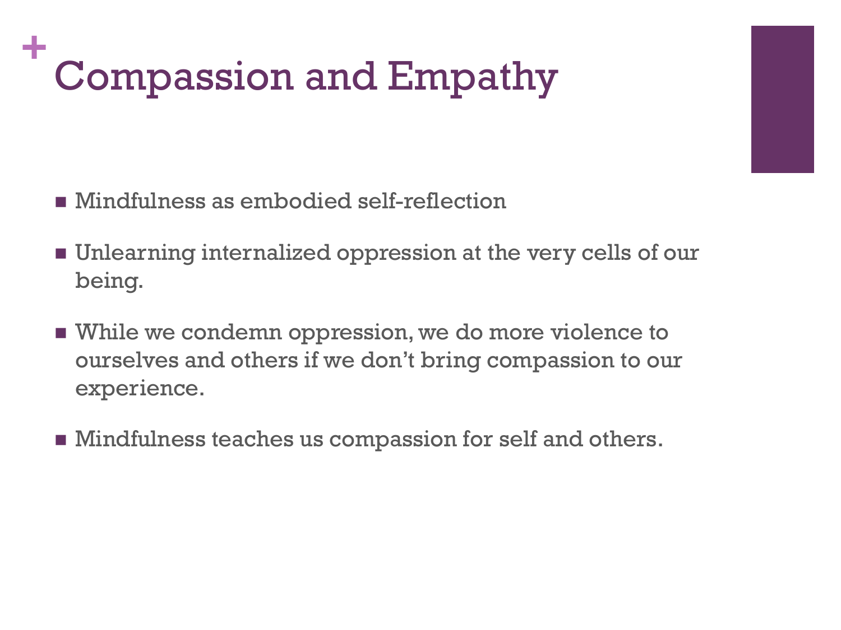## **+** Compassion and Empathy

- Mindfulness as embodied self-reflection
- Unlearning internalized oppression at the very cells of our being.
- While we condemn oppression, we do more violence to ourselves and others if we don't bring compassion to our experience.
- **Mindfulness teaches us compassion for self and others.**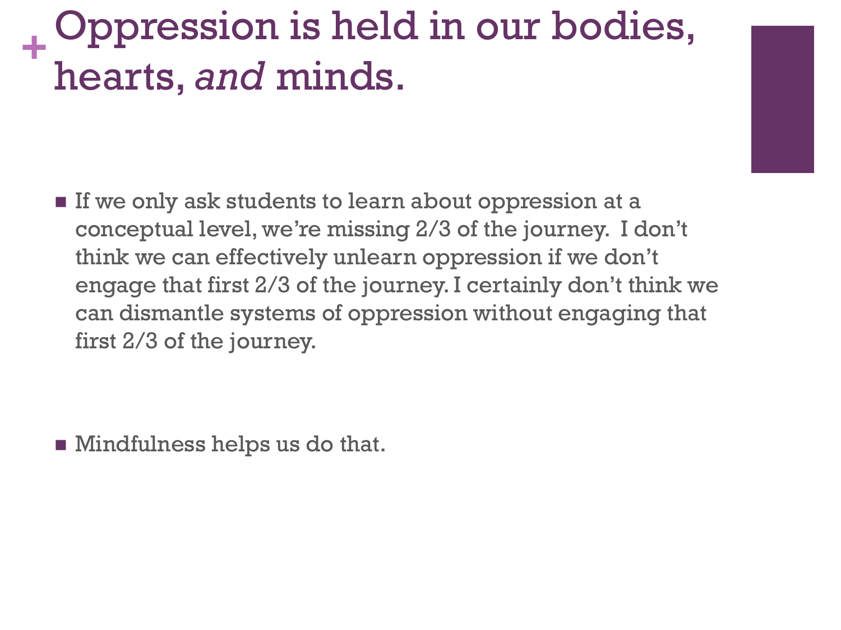#### **+** Oppression is held in our bodies, hearts, *and* minds.

 $\blacksquare$  If we only ask students to learn about oppression at a conceptual level, we're missing 2/3 of the journey. I don't think we can effectively unlearn oppression if we don't engage that first 2/3 of the journey. I certainly don't think we can dismantle systems of oppression without engaging that first 2/3 of the journey.

**Mindfulness helps us do that.**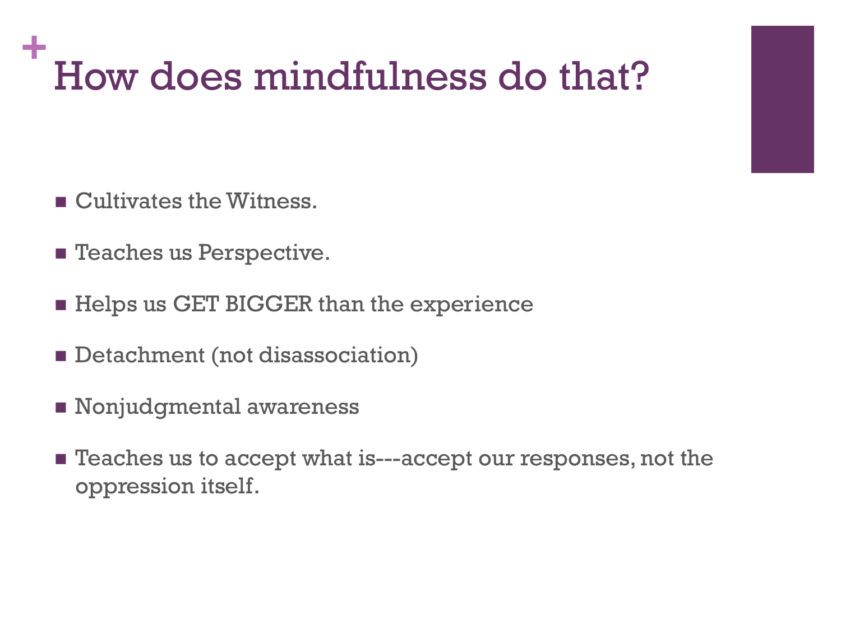## **+** How does mindfulness do that?

- Cultivates the Witness.
- **Exercices** us Perspective.
- Helps us GET BIGGER than the experience
- Detachment (not disassociation)
- **Nonjudgmental awareness**
- **Example 3** Teaches us to accept what is---accept our responses, not the oppression itself.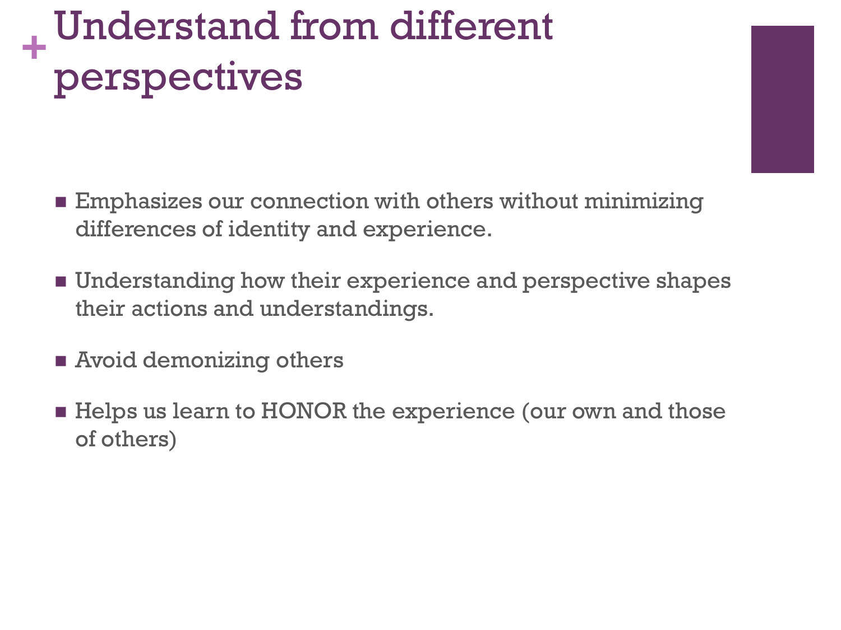#### **+** Understand from different perspectives

- **Emphasizes our connection with others without minimizing** differences of identity and experience.
- **Understanding how their experience and perspective shapes** their actions and understandings.
- **Example 3 Avoid demonizing others**
- **Helps us learn to HONOR the experience (our own and those** of others)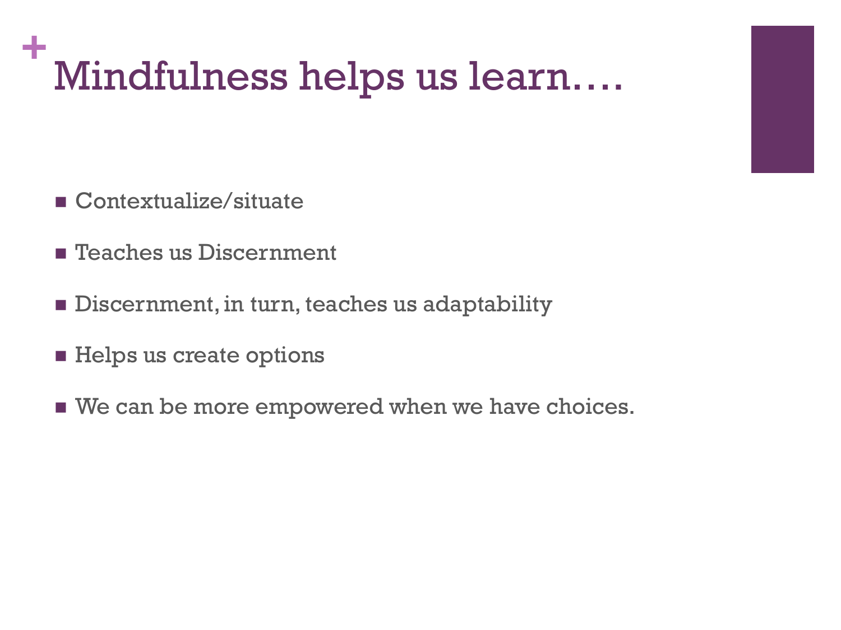## **+** Mindfulness helps us learn….

- Contextualize/situate
- **Example 1** Teaches us Discernment
- **Discernment, in turn, teaches us adaptability**
- **Helps us create options**
- We can be more empowered when we have choices.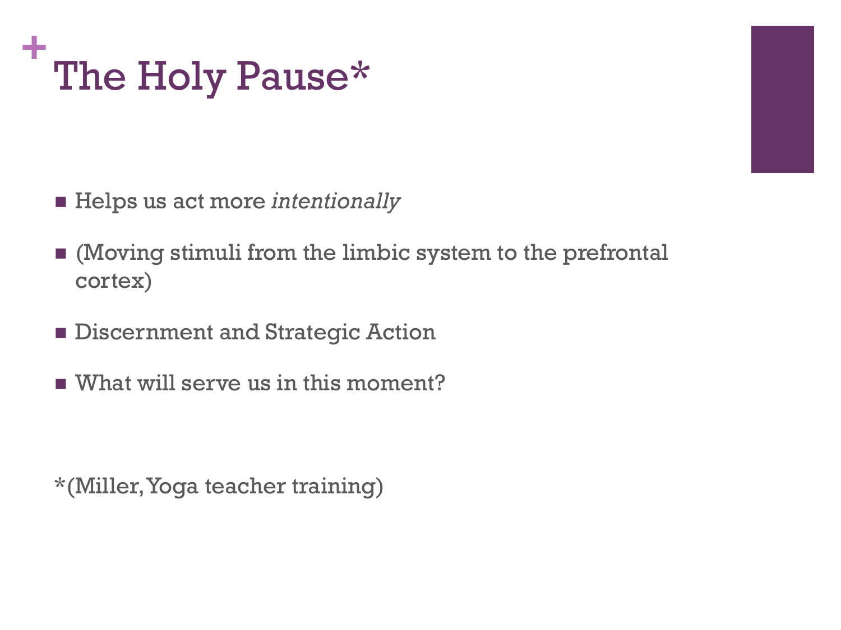

- Helps us act more *intentionally*
- (Moving stimuli from the limbic system to the prefrontal cortex)
- **Exercise Beaming Discernment and Strategic Action**
- What will serve us in this moment?

\*(Miller, Yoga teacher training)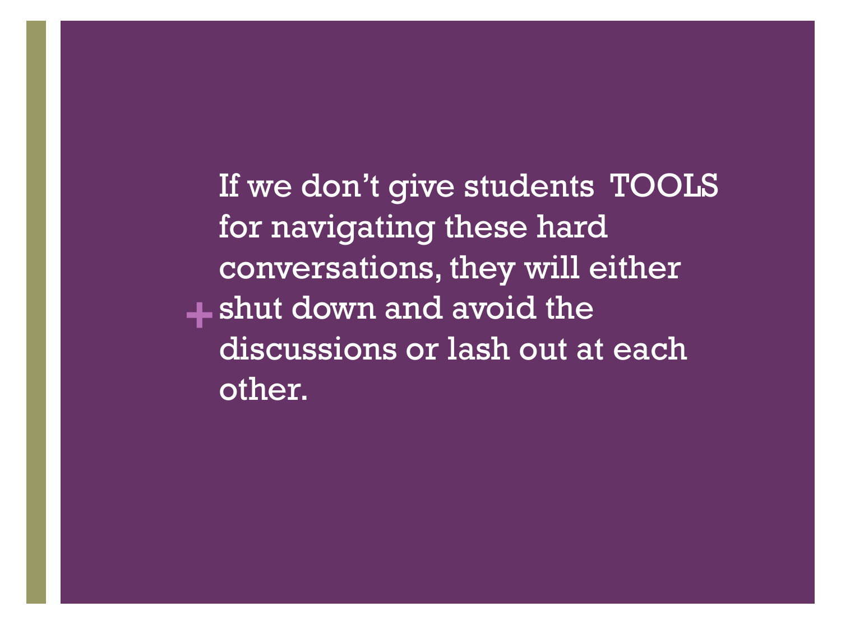**+** shut down and avoid the If we don't give students TOOLS for navigating these hard conversations, they will either discussions or lash out at each other.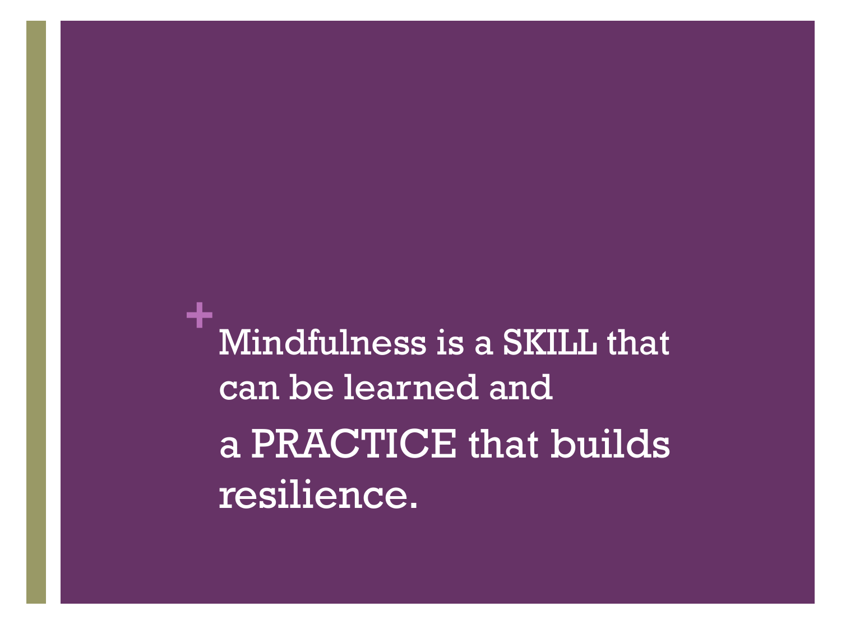**+** Mindfulness is a SKILL that can be learned and a PRACTICE that builds resilience.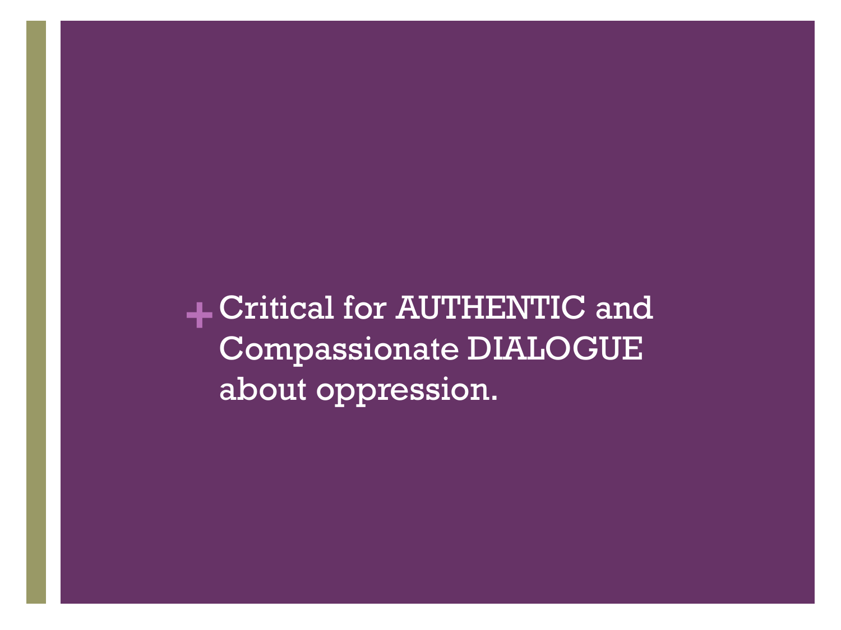**+**Critical for AUTHENTIC and Compassionate DIALOGUE about oppression.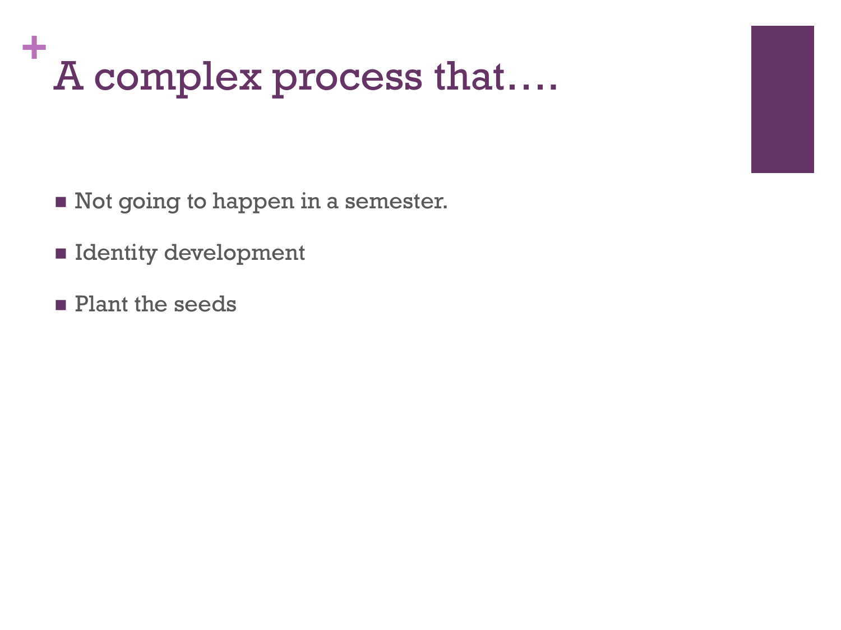## **+** A complex process that….

- Not going to happen in a semester.
- **Identity development**
- **Plant the seeds**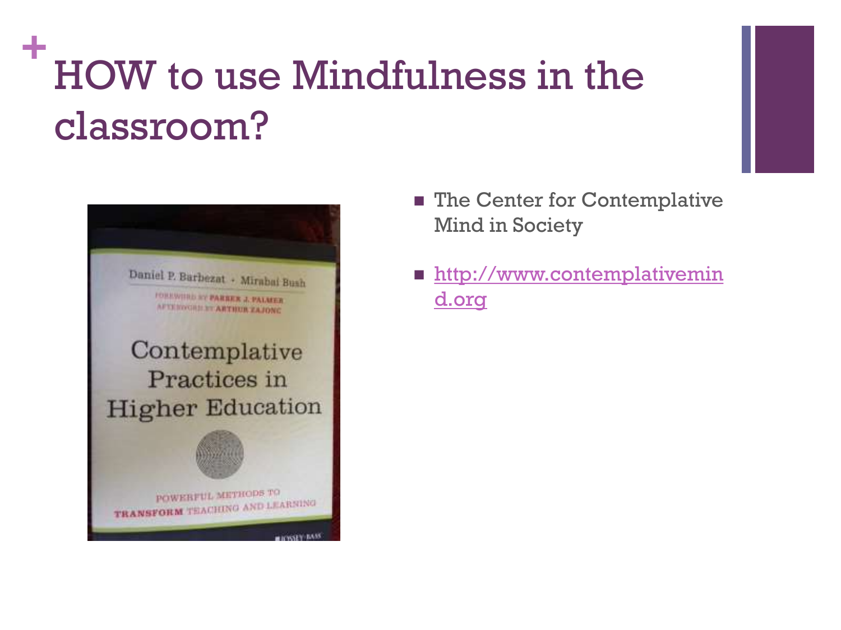## **+** HOW to use Mindfulness in the classroom?



- The Center for Contemplative Mind in Society
- **[http://www.contemplativemin](http://www.contemplativemind.org)** [d.org](http://www.contemplativemind.org)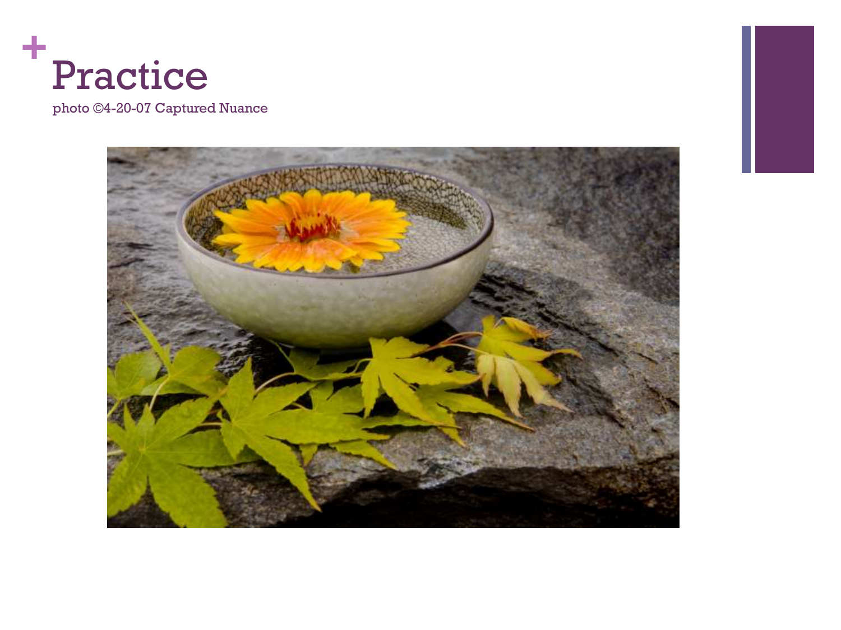

photo ©4-20-07 Captured Nuance

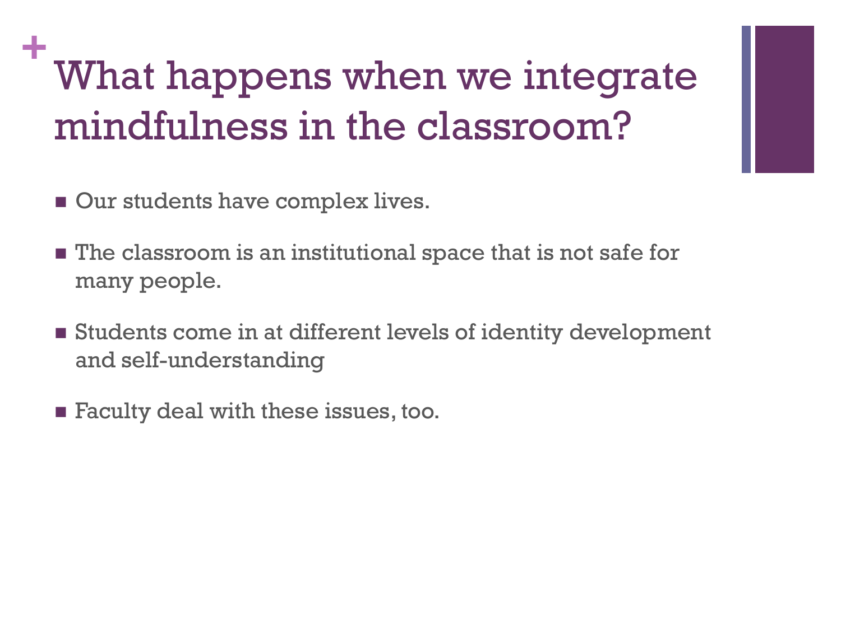## **+** What happens when we integrate mindfulness in the classroom?

- **Our students have complex lives.**
- **The classroom is an institutional space that is not safe for** many people.
- Students come in at different levels of identity development and self-understanding
- **Faculty deal with these issues, too.**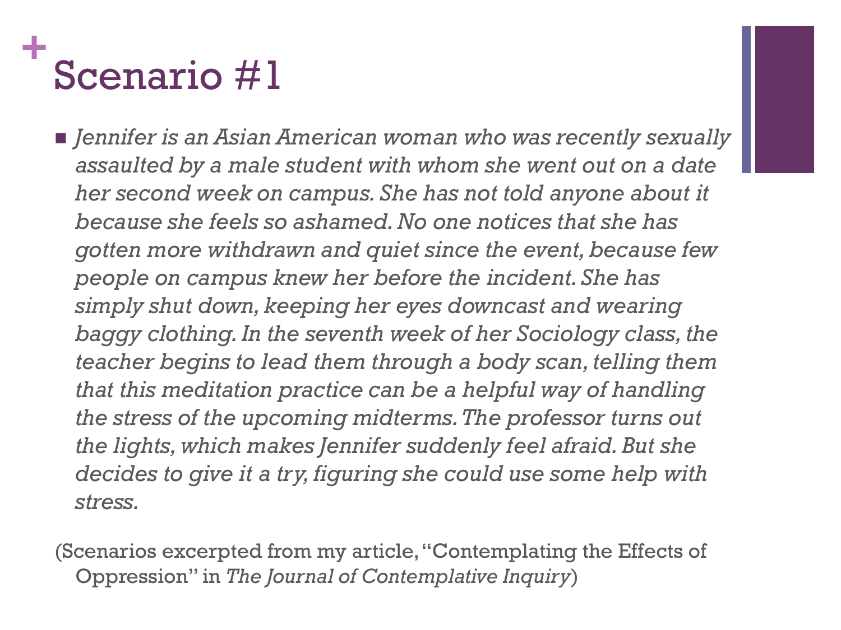## **+** Scenario #1

 *Jennifer is an Asian American woman who was recently sexually assaulted by a male student with whom she went out on a date her second week on campus. She has not told anyone about it because she feels so ashamed. No one notices that she has gotten more withdrawn and quiet since the event, because few people on campus knew her before the incident. She has simply shut down, keeping her eyes downcast and wearing baggy clothing. In the seventh week of her Sociology class, the teacher begins to lead them through a body scan, telling them that this meditation practice can be a helpful way of handling the stress of the upcoming midterms. The professor turns out the lights, which makes Jennifer suddenly feel afraid. But she decides to give it a try, figuring she could use some help with stress.*

(Scenarios excerpted from my article, "Contemplating the Effects of Oppression" in *The Journal of Contemplative Inquiry*)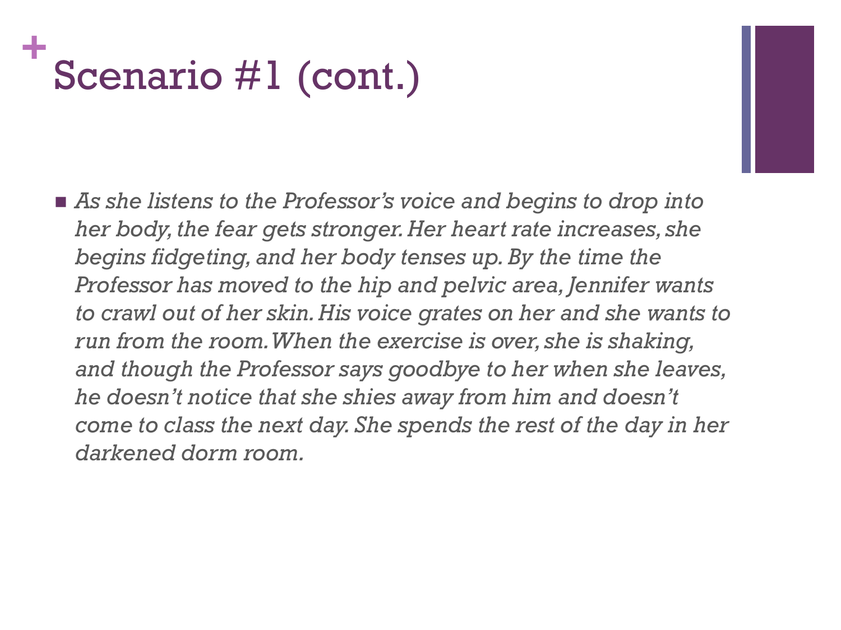## **+** Scenario #1 (cont.)

■ As she listens to the Professor's voice and begins to drop into *her body, the fear gets stronger. Her heart rate increases, she begins fidgeting, and her body tenses up. By the time the Professor has moved to the hip and pelvic area, Jennifer wants to crawl out of her skin. His voice grates on her and she wants to run from the room. When the exercise is over, she is shaking, and though the Professor says goodbye to her when she leaves, he doesn't notice that she shies away from him and doesn't come to class the next day. She spends the rest of the day in her darkened dorm room.*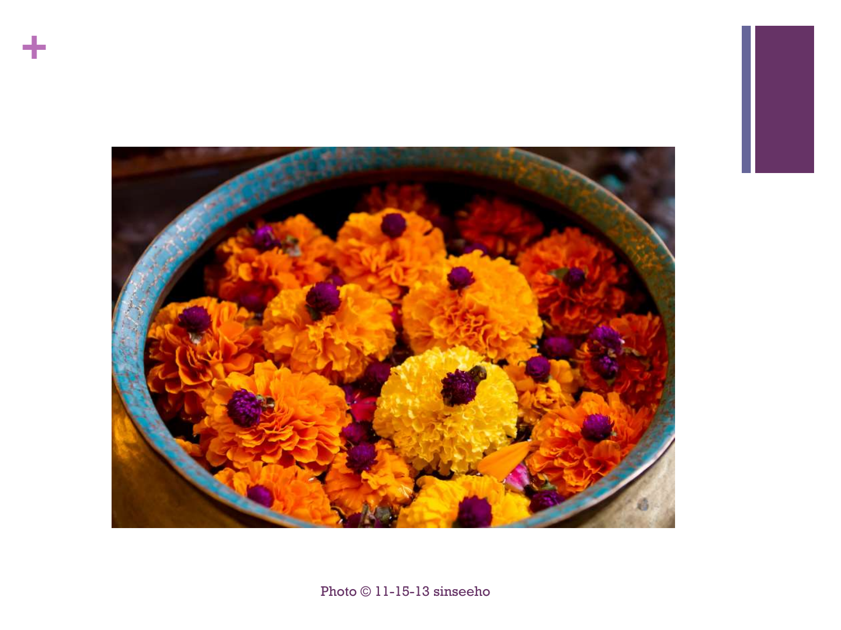

**+**

Photo © 11-15-13 sinseeho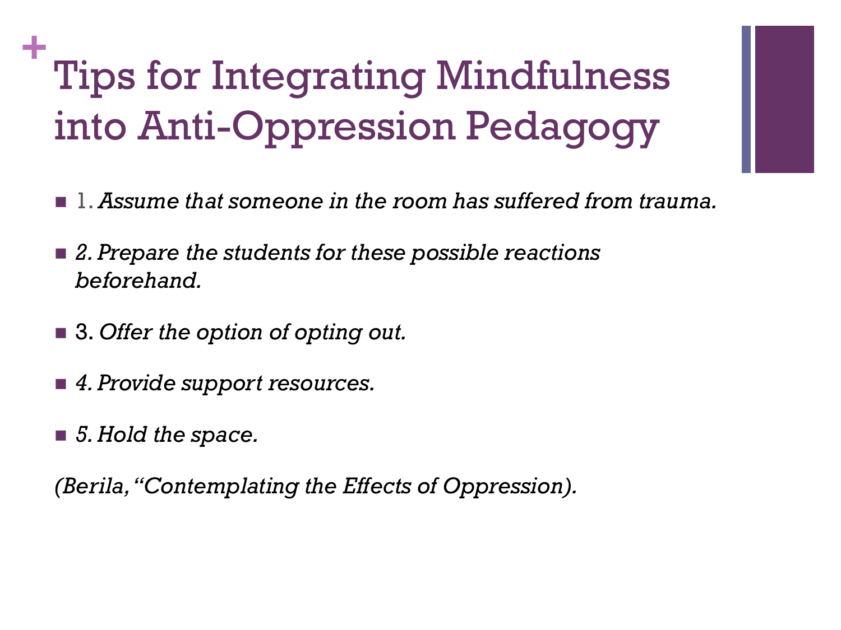## **+** Tips for Integrating Mindfulness into Anti-Oppression Pedagogy

- 1. *Assume that someone in the room has suffered from trauma.*
- *2. Prepare the students for these possible reactions beforehand.*
- 3. *Offer the option of opting out.*
- *4. Provide support resources.*
- *5. Hold the space.*

*(Berila, "Contemplating the Effects of Oppression).*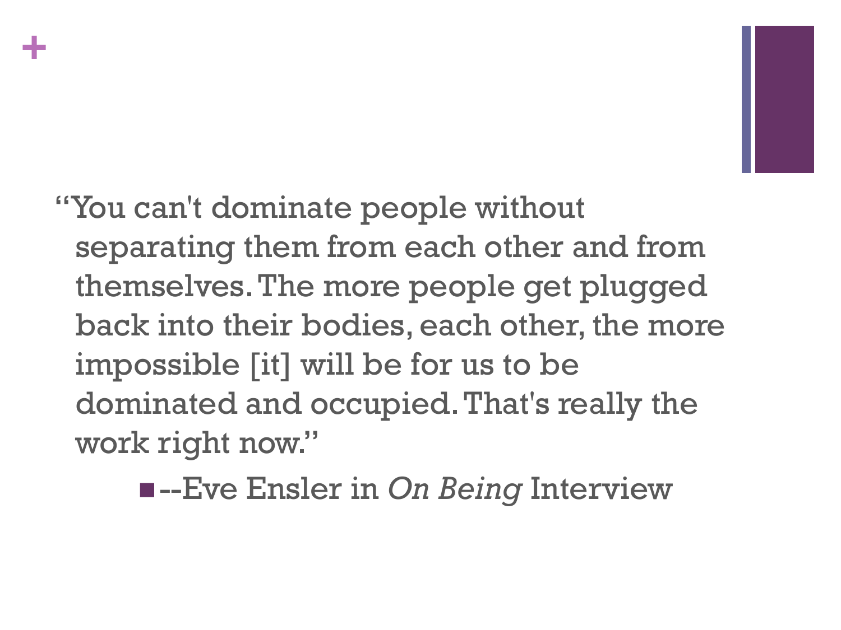# **+**

"You can't dominate people without separating them from each other and from themselves. The more people get plugged back into their bodies, each other, the more impossible [it] will be for us to be dominated and occupied. That's really the work right now."

--Eve Ensler in *On Being* Interview